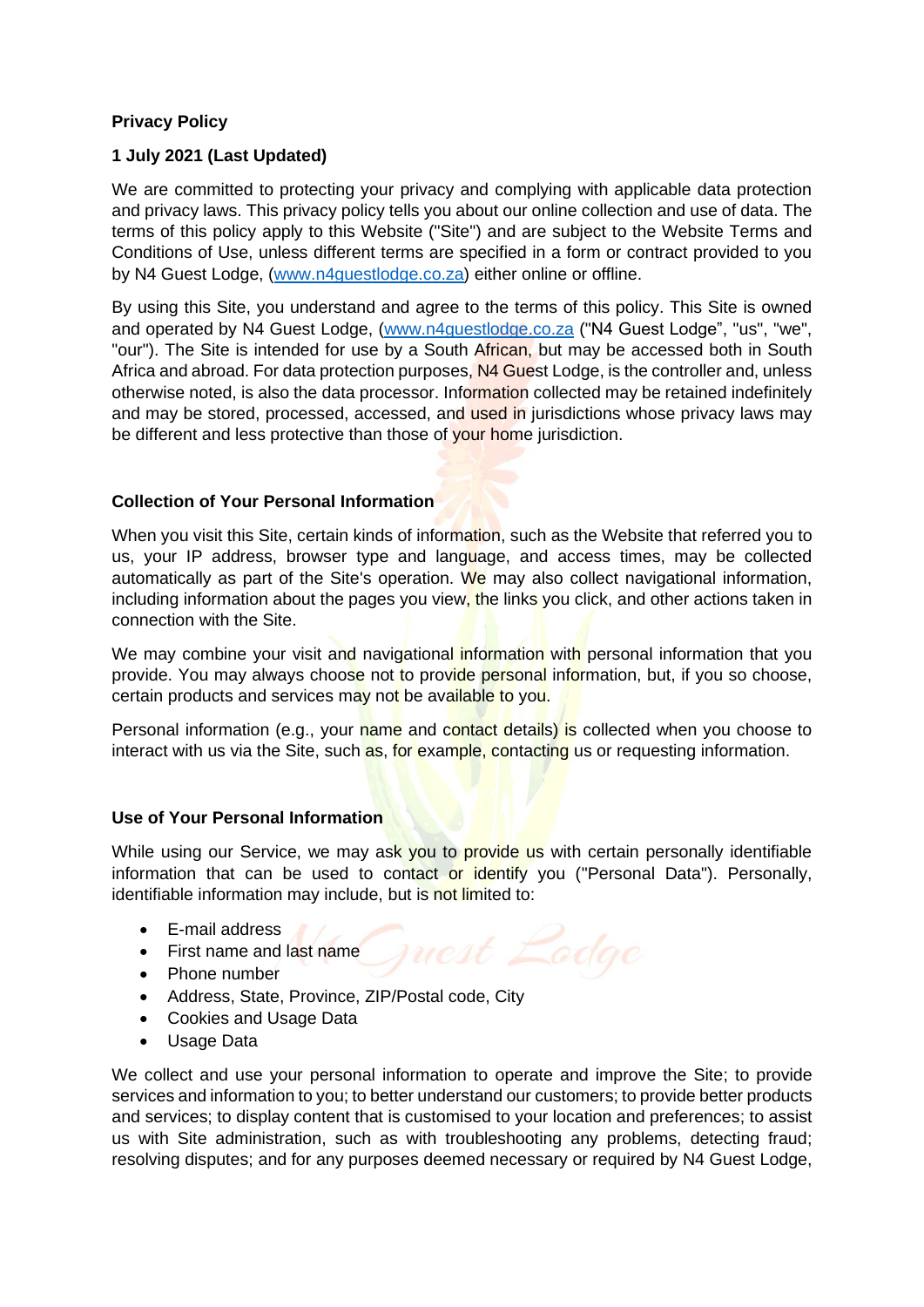# **Privacy Policy**

# **1 July 2021 (Last Updated)**

We are committed to protecting your privacy and complying with applicable data protection and privacy laws. This privacy policy tells you about our online collection and use of data. The terms of this policy apply to this Website ("Site") and are subject to the Website Terms and Conditions of Use, unless different terms are specified in a form or contract provided to you by N4 Guest Lodge, [\(www.n4guestlodge.co.za\)](http://www.n4guestlodge.co.za/) either online or offline.

By using this Site, you understand and agree to the terms of this policy. This Site is owned and operated by N4 Guest Lodge, [\(www.n4guestlodge.co.za](http://www.n4guestlodge.co.za/) ("N4 Guest Lodge", "us", "we", "our"). The Site is intended for use by a South African, but may be accessed both in South Africa and abroad. For data protection purposes, N4 Guest Lodge, is the controller and, unless otherwise noted, is also the data processor. Information collected may be retained indefinitely and may be stored, processed, accessed, and used in jurisdictions whose privacy laws may be different and less protective than those of vour home jurisdiction.

# **Collection of Your Personal Information**

When you visit this Site, certain kinds of information, such as the Website that referred you to us, your IP address, browser type and language, and access times, may be collected automatically as part of the Site's operation. We may also collect navigational information, including information about the pages you view, the links you click, and other actions taken in connection with the Site.

We may combine your visit and navigational information with personal information that you provide. You may always choose not to provide personal information, but, if you so choose, certain products and services may not be available to you.

Personal information (e.g., your name and contact details) is collected when you choose to interact with us via the Site, such as, for example, contacting us or requesting information.

# **Use of Your Personal Information**

While using our Service, we may ask you to provide us with certain personally identifiable information that can be used to contact or identify you ("Personal Data"). Personally, identifiable information may include, but is not limited to:

- E-mail address
- First name and last name
- Phone number
- Address, State, Province, ZIP/Postal code, City
- Cookies and Usage Data
- Usage Data

We collect and use your personal information to operate and improve the Site; to provide services and information to you; to better understand our customers; to provide better products and services; to display content that is customised to your location and preferences; to assist us with Site administration, such as with troubleshooting any problems, detecting fraud; resolving disputes; and for any purposes deemed necessary or required by N4 Guest Lodge,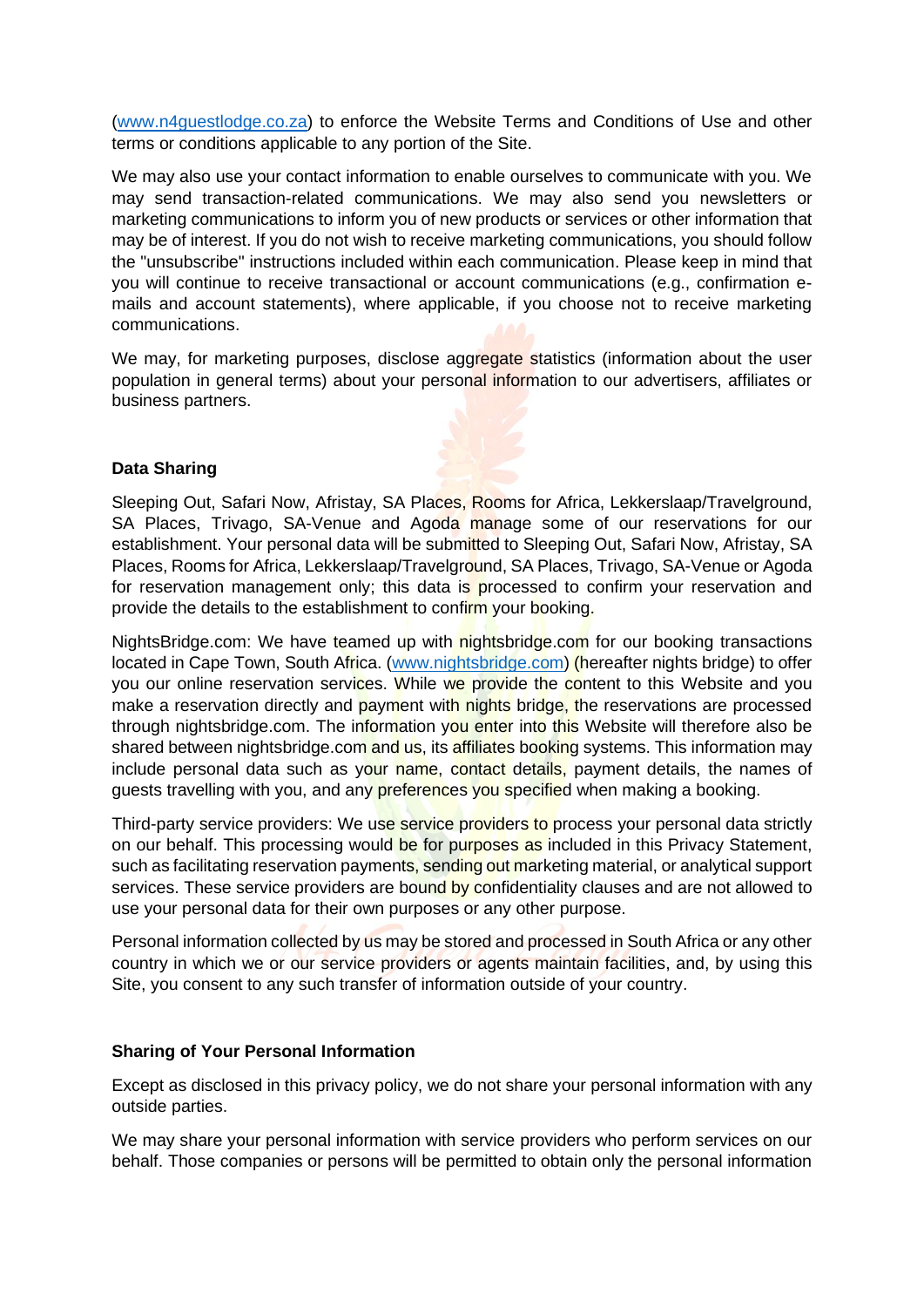[\(www.n4guestlodge.co.za\)](http://www.n4guestlodge.co.za/) to enforce the Website Terms and Conditions of Use and other terms or conditions applicable to any portion of the Site.

We may also use your contact information to enable ourselves to communicate with you. We may send transaction-related communications. We may also send you newsletters or marketing communications to inform you of new products or services or other information that may be of interest. If you do not wish to receive marketing communications, you should follow the "unsubscribe" instructions included within each communication. Please keep in mind that you will continue to receive transactional or account communications (e.g., confirmation emails and account statements), where applicable, if you choose not to receive marketing communications.

We may, for marketing purposes, disclose aggregate statistics (information about the user population in general terms) about your personal information to our advertisers, affiliates or business partners.

# **Data Sharing**

Sleeping Out, Safari Now, Afristay, SA Places, Rooms for Africa, Lekkerslaap/Travelground, SA Places, Trivago, SA-Venue and Agoda manage some of our reservations for our establishment. Your personal data will be submitted to Sleeping Out, Safari Now, Afristay, SA Places, Rooms for Africa, Lekkerslaap/Travelground, SA Places, Trivago, SA-Venue or Agoda for reservation management only; this data is processed to confirm your reservation and provide the details to the establishment to confirm your booking.

NightsBridge.com: We have teamed up with nightsbridge.com for our booking transactions located in Cape Town, South Africa. [\(www.nightsbridge.com\)](http://www.nightsbridge.com/) (hereafter nights bridge) to offer you our online reservation services. While we provide the content to this Website and you make a reservation directly and payment with nights bridge, the reservations are processed through nightsbridge.com. The information you enter into this Website will therefore also be shared between nightsbridge.com and us, its affiliates booking systems. This information may include personal data such as your name, contact details, payment details, the names of guests travelling with you, and any preferences you specified when making a booking.

Third-party service providers: We use service providers to process your personal data strictly on our behalf. This processing would be for purposes as included in this Privacy Statement, such as facilitating reservation payments, sending out marketing material, or analytical support services. These service providers are bound by confidentiality clauses and are not allowed to use your personal data for their own purposes or any other purpose.

Personal information collected by us may be stored and processed in South Africa or any other country in which we or our service providers or agents maintain facilities, and, by using this Site, you consent to any such transfer of information outside of your country.

# **Sharing of Your Personal Information**

Except as disclosed in this privacy policy, we do not share your personal information with any outside parties.

We may share your personal information with service providers who perform services on our behalf. Those companies or persons will be permitted to obtain only the personal information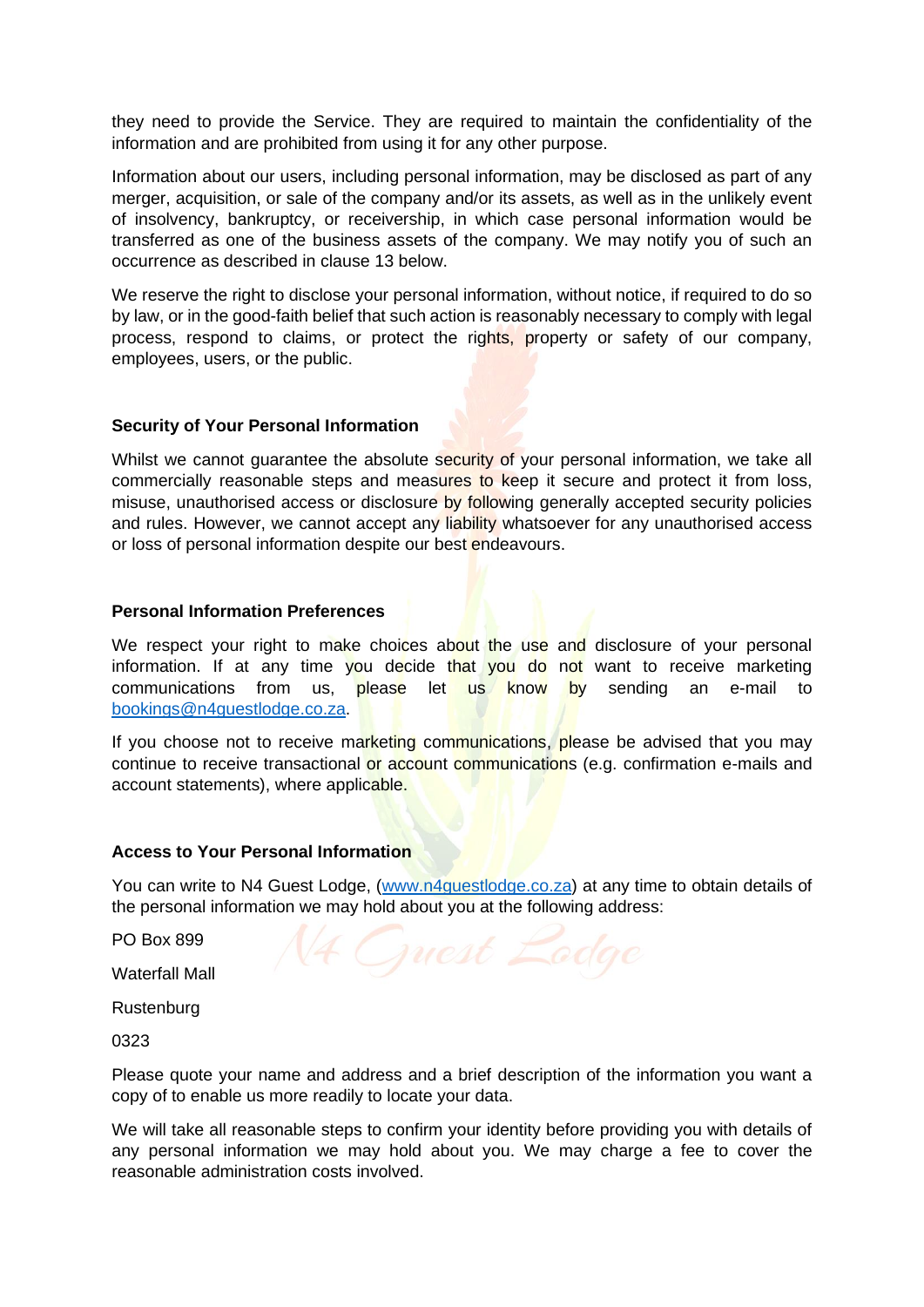they need to provide the Service. They are required to maintain the confidentiality of the information and are prohibited from using it for any other purpose.

Information about our users, including personal information, may be disclosed as part of any merger, acquisition, or sale of the company and/or its assets, as well as in the unlikely event of insolvency, bankruptcy, or receivership, in which case personal information would be transferred as one of the business assets of the company. We may notify you of such an occurrence as described in clause 13 below.

We reserve the right to disclose your personal information, without notice, if required to do so by law, or in the good-faith belief that such action is reasonably necessary to comply with legal process, respond to claims, or protect the rights, property or safety of our company, employees, users, or the public.

## **Security of Your Personal Information**

Whilst we cannot guarantee the absolute security of your personal information, we take all commercially reasonable steps and measures to keep it secure and protect it from loss, misuse, unauthorised access or disclosure by following generally accepted security policies and rules. However, we cannot accept any liability whatsoever for any unauthorised access or loss of personal information despite our best endeavours.

#### **Personal Information Preferences**

We respect your right to make choices about the use and disclosure of your personal information. If at any time you decide that you do not want to receive marketing communications from us, please let us know by sending an e-mail to [bookings@n4guestlodge.co.za.](mailto:bookings@n4guestlodge.co.za)

If you choose not to receive marketing communications, please be advised that you may continue to receive transactional or account communications (e.g. confirmation e-mails and account statements), where applicable.

#### **Access to Your Personal Information**

You can write to N4 Guest Lodge, [\(www.n4guestlodge.co.za\)](http://www.n4guestlodge.co.za/) at any time to obtain details of the personal information we may hold about you at the following address:

PO Box 899

Waterfall Mall

Rustenburg

0323

Please quote your name and address and a brief description of the information you want a copy of to enable us more readily to locate your data.

We will take all reasonable steps to confirm your identity before providing you with details of any personal information we may hold about you. We may charge a fee to cover the reasonable administration costs involved.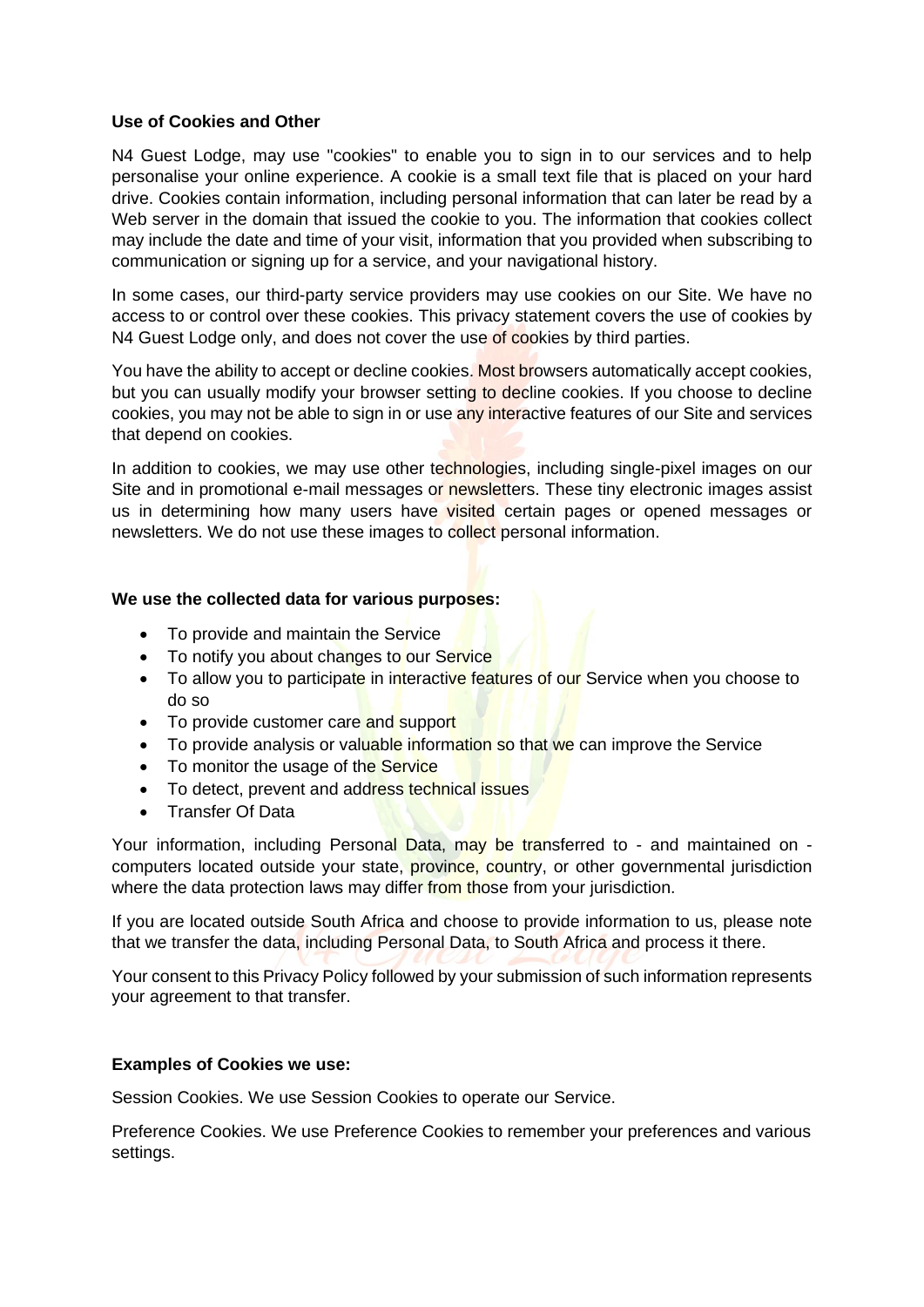## **Use of Cookies and Other**

N4 Guest Lodge, may use "cookies" to enable you to sign in to our services and to help personalise your online experience. A cookie is a small text file that is placed on your hard drive. Cookies contain information, including personal information that can later be read by a Web server in the domain that issued the cookie to you. The information that cookies collect may include the date and time of your visit, information that you provided when subscribing to communication or signing up for a service, and your navigational history.

In some cases, our third-party service providers may use cookies on our Site. We have no access to or control over these cookies. This privacy statement covers the use of cookies by N4 Guest Lodge only, and does not cover the use of cookies by third parties.

You have the ability to accept or decline cookies. Most browsers automatically accept cookies, but you can usually modify your browser setting to decline cookies. If you choose to decline cookies, you may not be able to sign in or use any interactive features of our Site and services that depend on cookies.

In addition to cookies, we may use other technologies, including single-pixel images on our Site and in promotional e-mail messages or newsletters. These tiny electronic images assist us in determining how many users have visited certain pages or opened messages or newsletters. We do not use these images to collect personal information.

## **We use the collected data for various purposes:**

- To provide and maintain the Service
- To notify you about changes to our Service
- To allow you to participate in interactive features of our Service when you choose to do so
- To provide customer care and support
- To provide analysis or valuable information so that we can improve the Service
- To monitor the usage of the Service
- To detect, prevent and address technical issues
- Transfer Of Data

Your information, including Personal Data, may be transferred to - and maintained on computers located outside your state, province, country, or other governmental jurisdiction where the data protection laws may differ from those from your jurisdiction.

If you are located outside South Africa and choose to provide information to us, please note that we transfer the data, including Personal Data, to South Africa and process it there.

Your consent to this Privacy Policy followed by your submission of such information represents your agreement to that transfer.

#### **Examples of Cookies we use:**

Session Cookies. We use Session Cookies to operate our Service.

Preference Cookies. We use Preference Cookies to remember your preferences and various settings.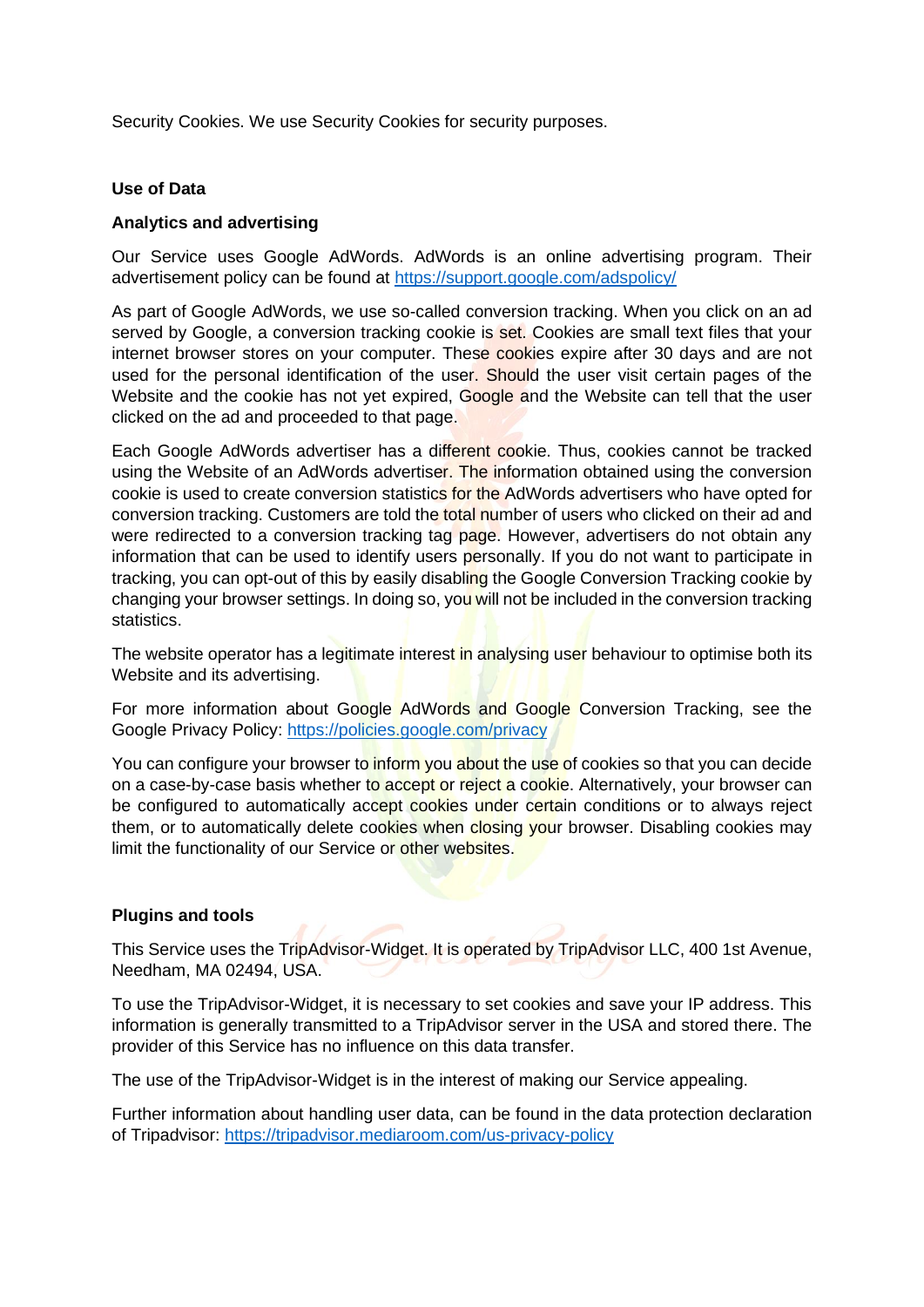Security Cookies. We use Security Cookies for security purposes.

#### **Use of Data**

## **Analytics and advertising**

Our Service uses Google AdWords. AdWords is an online advertising program. Their advertisement policy can be found at<https://support.google.com/adspolicy/>

As part of Google AdWords, we use so-called conversion tracking. When you click on an ad served by Google, a conversion tracking cookie is set. Cookies are small text files that your internet browser stores on your computer. These cookies expire after 30 days and are not used for the personal identification of the user. Should the user visit certain pages of the Website and the cookie has not yet expired, Google and the Website can tell that the user clicked on the ad and proceeded to that page.

Each Google AdWords advertiser has a different cookie. Thus, cookies cannot be tracked using the Website of an AdWords advertiser. The information obtained using the conversion cookie is used to create conversion statistics for the AdWords advertisers who have opted for conversion tracking. Customers are told the total number of users who clicked on their ad and were redirected to a conversion tracking tag page. However, advertisers do not obtain any information that can be used to identify users personally. If you do not want to participate in tracking, you can opt-out of this by easily disabling the Google Conversion Tracking cookie by changing your browser settings. In doing so, you will not be included in the conversion tracking statistics.

The website operator has a legitimate interest in analysing user behaviour to optimise both its Website and its advertising.

For more information about Google AdWords and Google Conversion Tracking, see the Google Privacy Policy:<https://policies.google.com/privacy>

You can configure your browser to inform you about the use of cookies so that you can decide on a case-by-case basis whether to accept or reject a cookie. Alternatively, your browser can be configured to automatically accept cookies under certain conditions or to always reject them, or to automatically delete cookies when closing your browser. Disabling cookies may limit the functionality of our Service or other websites.

# **Plugins and tools**

This Service uses the TripAdvisor-Widget. It is operated by TripAdvisor LLC, 400 1st Avenue, Needham, MA 02494, USA.

To use the TripAdvisor-Widget, it is necessary to set cookies and save your IP address. This information is generally transmitted to a TripAdvisor server in the USA and stored there. The provider of this Service has no influence on this data transfer.

The use of the TripAdvisor-Widget is in the interest of making our Service appealing.

Further information about handling user data, can be found in the data protection declaration of Tripadvisor:<https://tripadvisor.mediaroom.com/us-privacy-policy>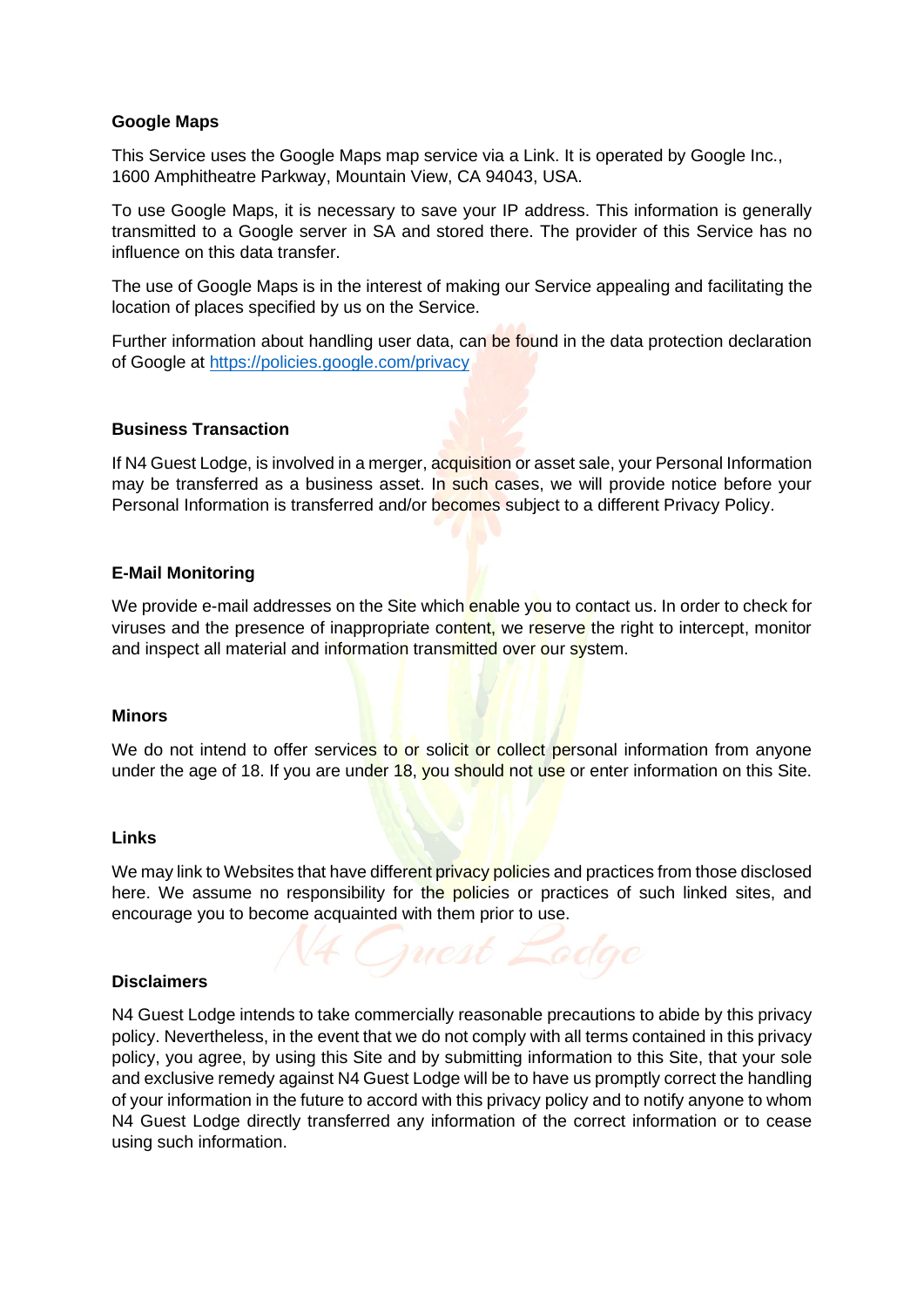# **Google Maps**

This Service uses the Google Maps map service via a Link. It is operated by Google Inc., 1600 Amphitheatre Parkway, Mountain View, CA 94043, USA.

To use Google Maps, it is necessary to save your IP address. This information is generally transmitted to a Google server in SA and stored there. The provider of this Service has no influence on this data transfer.

The use of Google Maps is in the interest of making our Service appealing and facilitating the location of places specified by us on the Service.

Further information about handling user data, can be found in the data protection declaration of Google at<https://policies.google.com/privacy>

## **Business Transaction**

If N4 Guest Lodge, is involved in a merger, acquisition or asset sale, your Personal Information may be transferred as a business asset. In such cases, we will provide notice before your Personal Information is transferred and/or becomes subject to a different Privacy Policy.

## **E-Mail Monitoring**

We provide e-mail addresses on the Site which enable you to contact us. In order to check for viruses and the presence of inappropriate content, we reserve the right to intercept, monitor and inspect all material and information transmitted over our system.

#### **Minors**

We do not intend to offer services to or solicit or collect personal information from anyone under the age of 18. If you are under 18, you should not use or enter information on this Site.

#### **Links**

We may link to Websites that have different privacy policies and practices from those disclosed here. We assume no responsibility for the policies or practices of such linked sites, and encourage you to become acquainted with them prior to use.

#### **Disclaimers**

N4 Guest Lodge intends to take commercially reasonable precautions to abide by this privacy policy. Nevertheless, in the event that we do not comply with all terms contained in this privacy policy, you agree, by using this Site and by submitting information to this Site, that your sole and exclusive remedy against N4 Guest Lodge will be to have us promptly correct the handling of your information in the future to accord with this privacy policy and to notify anyone to whom N4 Guest Lodge directly transferred any information of the correct information or to cease using such information.